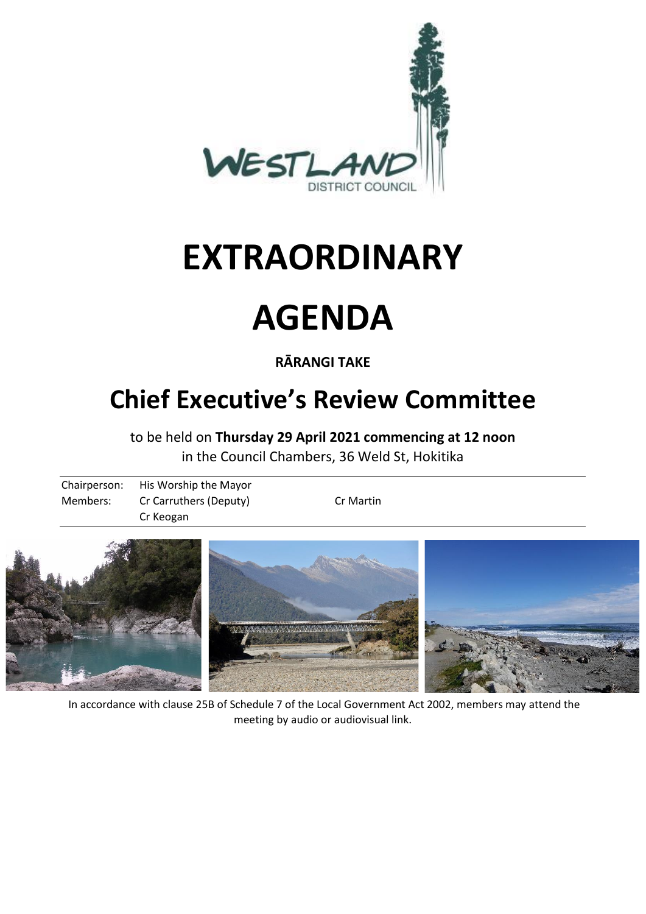

# **EXTRAORDINARY**

# **AGENDA**

**RĀRANGI TAKE**

# **Chief Executive's Review Committee**

to be held on **Thursday 29 April 2021 commencing at 12 noon** in the Council Chambers, 36 Weld St, Hokitika

| Chairperson: | His Worship the Mayor  |           |
|--------------|------------------------|-----------|
| Members:     | Cr Carruthers (Deputy) | Cr Martin |
|              | Cr Keogan              |           |



In accordance with clause 25B of Schedule 7 of the Local Government Act 2002, members may attend the meeting by audio or audiovisual link.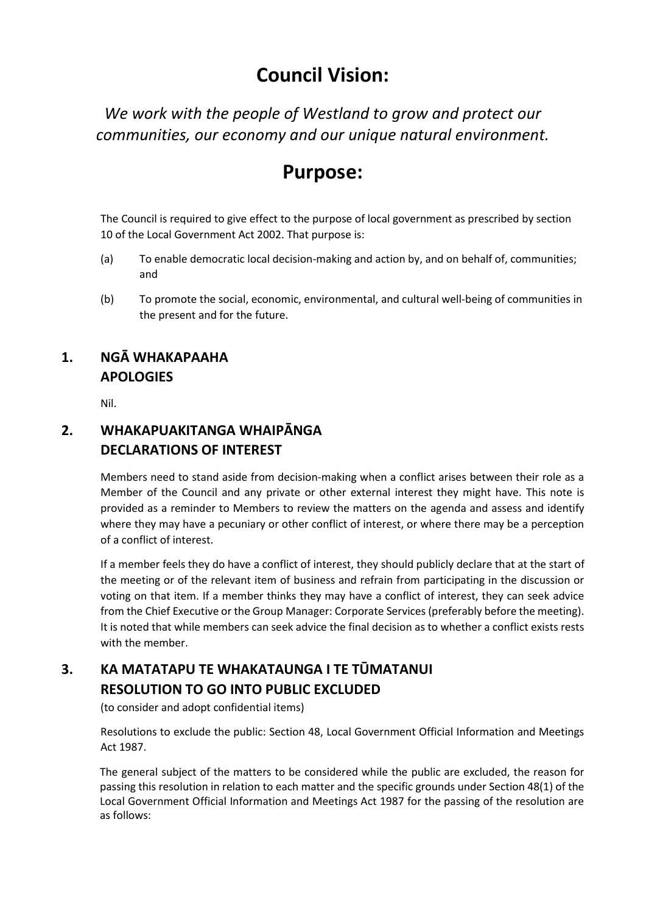## **Council Vision:**

*We work with the people of Westland to grow and protect our communities, our economy and our unique natural environment.*

### **Purpose:**

The Council is required to give effect to the purpose of local government as prescribed by section 10 of the Local Government Act 2002. That purpose is:

- (a) To enable democratic local decision-making and action by, and on behalf of, communities; and
- (b) To promote the social, economic, environmental, and cultural well-being of communities in the present and for the future.

### **1. NGĀ WHAKAPAAHA APOLOGIES**

Nil.

#### **2. WHAKAPUAKITANGA WHAIPĀNGA DECLARATIONS OF INTEREST**

Members need to stand aside from decision-making when a conflict arises between their role as a Member of the Council and any private or other external interest they might have. This note is provided as a reminder to Members to review the matters on the agenda and assess and identify where they may have a pecuniary or other conflict of interest, or where there may be a perception of a conflict of interest.

If a member feels they do have a conflict of interest, they should publicly declare that at the start of the meeting or of the relevant item of business and refrain from participating in the discussion or voting on that item. If a member thinks they may have a conflict of interest, they can seek advice from the Chief Executive or the Group Manager: Corporate Services (preferably before the meeting). It is noted that while members can seek advice the final decision as to whether a conflict exists rests with the member.

#### **3. KA MATATAPU TE WHAKATAUNGA I TE TŪMATANUI RESOLUTION TO GO INTO PUBLIC EXCLUDED**

(to consider and adopt confidential items)

Resolutions to exclude the public: Section 48, Local Government Official Information and Meetings Act 1987.

The general subject of the matters to be considered while the public are excluded, the reason for passing this resolution in relation to each matter and the specific grounds under Section 48(1) of the Local Government Official Information and Meetings Act 1987 for the passing of the resolution are as follows: